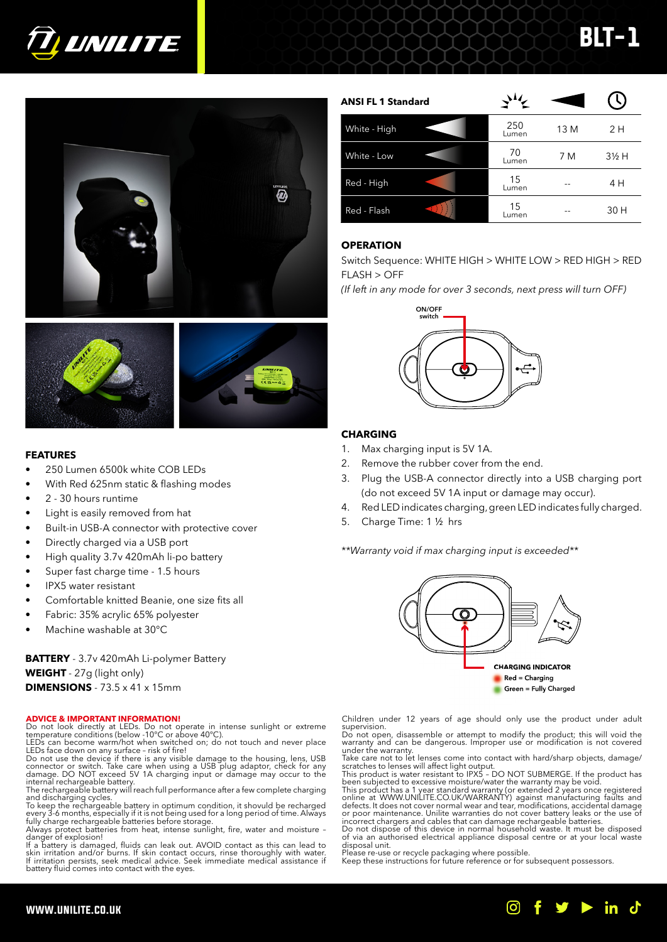





### **FEATURES**

- 250 Lumen 6500k white COB LEDs
- With Red 625nm static & flashing modes
- 2 30 hours runtime
- Light is easily removed from hat
- Built-in USB-A connector with protective cover
- Directly charged via a USB port
- High quality 3.7v 420mAh li-po battery
- Super fast charge time 1.5 hours
- IPX5 water resistant
- Comfortable knitted Beanie, one size fits all
- Fabric: 35% acrylic 65% polyester
- Machine washable at 30°C

**BATTERY** - 3.7v 420mAh Li-polymer Battery **WEIGHT** - 27g (light only) **DIMENSIONS** - 73.5 x 41 x 15mm

### **ADVICE & IMPORTANT INFORMATION!**

Do not look directly at LEDs. Do not operate in intense sunlight or extreme temperature conditions (below -10°C or above 40°C).

LEDs can become warm/hot when switched on; do not touch and never place<br>LEDs face down on any surface - risk of fire!<br>Do not use the device if there is any visible damage to the housing, lens, USB<br>connector or switch. Take

and discharging cycles.<br>To keep the rechargeable battery in optimum condition, it shovuld be recharged<br>every 3-6 months, especially if it is not being used for a long period of time. Always<br>fully charge rechargeable batter

If a battery is damaged, fluids can leak out. AVOID contact as this can lead to<br>skin irritation and/or burns. If skin contact occurs, rinse thoroughly with water.<br>If irritation persists, seek medical advice. Seek immediate

| <b>ANSI FL 1 Standard</b> | $\Delta t$   |      |                  |
|---------------------------|--------------|------|------------------|
| White - High              | 250<br>Lumen | 13 M | 2 H              |
| White - Low               | 70<br>Lumen  | 7 M  | $3\frac{1}{2}$ H |
| Red - High                | 15<br>Lumen  |      | 4 H              |
| Red - Flash               | 15<br>Lumen  |      | 30 H             |

BLT-1

### **OPERATION**

Switch Sequence: WHITE HIGH > WHITE LOW > RED HIGH > RED FLASH > OFF

*(If left in any mode for over 3 seconds, next press will turn OFF)* 



### **CHARGING**

- 1. Max charging input is 5V 1A.
- 2. Remove the rubber cover from the end.
- 3. Plug the USB-A connector directly into a USB charging port (do not exceed 5V 1A input or damage may occur).
- 4. Red LED indicates charging, green LED indicates fully charged.
- 5. Charge Time: 1 ½ hrs

*\*\*Warranty void if max charging input is exceeded\*\**



Children under 12 years of age should only use the product under adult supervision.

Do not open, disassemble or attempt to modify the product; this will void the warranty and can be dangerous. Improper use or modification is not covered under the warranty. Take care not to let lenses come into contact with hard/sharp objects, damage/

scratches to lenses will affect light output.<br>This product is water resistant to IPX5 - DO NOT SUBMERGE. If the product has<br>been subjected to excessive moisture/water the warranty may be void.<br>This product has a 1 year sta

defects. It does not cover normal wear and tear, modifications, accidental damage or poor maintenance. Unilite warranties do not cover battery leaks or the use of

incorrect chargers and cables that can damage rechargeable batteries.<br>Do not dispose of this device in normal household waste. It must be disposed<br>of via an authorised electrical appliance disposal centre or at your local disposal unit. Please re-use or recycle packaging where possible.

Keep these instructions for future reference or for subsequent possessors.

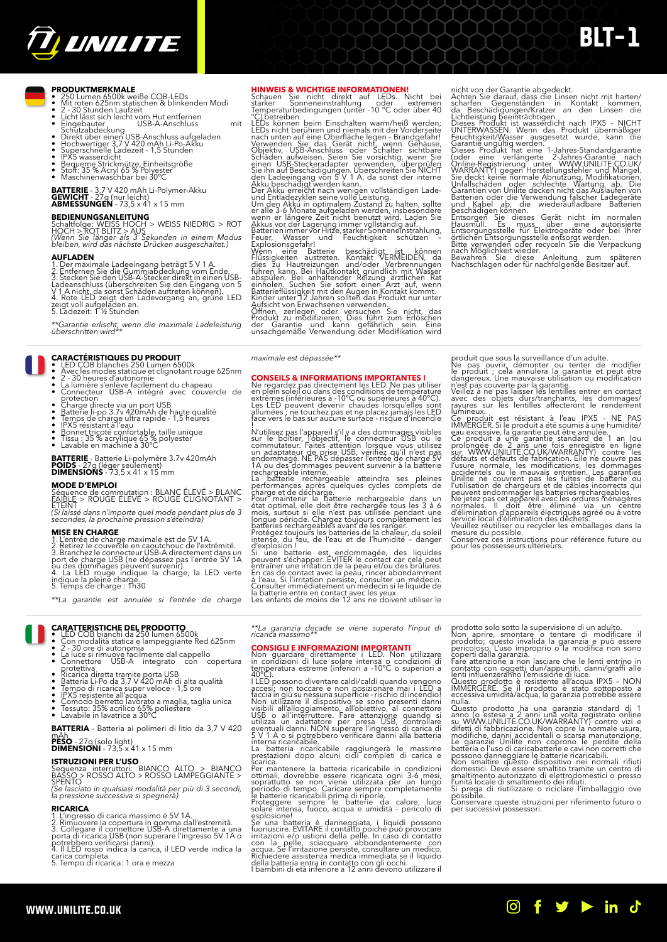

# BLT-1

- **PRODUKTMERKMALE**<br>• 250 Lumen 6500k weiße COB-LEDs<br>• Mit roten 625nm statischen & blinkenden Modi<br>• 2 30 Stunden Laufzeit<br>• Licht lässt sich leicht vom Hut entfernen<br>• Eingebauter <sub>·</sub> USB-A-Anschluss mit
- 
- 
- 
- Eingebauter<br>
USB-A-Anschluss<br>
Schutzabdeckung<br>
Direkt über einen USB-Anschluss aufgeladen<br>
Hochwertiger 3,7 V 420 mAh Li-Po-Akku<br>
Superschnelle Ladezeit 1,5 Stunden<br>
IPX5 wasserdicht<br>
Stodt: 35 % Acryl 65 % Polyester<br>
Ma
- 
- 
- 
- 

**BATTERIE** - 3,7 V 420 mAh Li-Polymer-Akku **GEWICHT** - 27g (nur leicht) **ABMESSUNGEN** - 73,5 x 41 x 15 mm

### **BEDIENUNGSANLEITUNG**

Schaltfolge: WEISS HOCH > WEISS NIEDRIG > ROT<br>HOCH > ROT BLITZ > AUS<br>*(Wenn Sie länger als 3 Sekunden in einem Modus*<br>*bleiben, wird das nächste Drücken ausgeschaltet.)* 

- 
- 
- **AUFLADEN**<br>1. Der maximale Ladeeingang beträgt 5 V 1 A.<br>2. Entfernen Sie die Gummiabdeckung vom Ende.<br>3. Stecken Sie den USB-A-Stecker direkt in einen USB-<br>Ladeanschluss (überschreiten Sie den Eingang von 5<br>V 1 A nicht, da
- 

*\*\*Garantie erlischt, wenn die maximale Ladeleistung überschritten wird\*\**

### **CARACTÉRISTIQUES DU PRODUIT**

- LED COB blanches 250 Lumen 6500k<br>• Avec les modes statique et clignotant rouge 625nm<br>• 2 30 heures d'autonomie<br>• La lumière s'enlève facilement du chapeau<br>• Connecteur USB-A intégré avec couvercle de
- 
- 
- 
- 
- Charge directe via un port USB<br>• Batterie li-po 3.7v 420mAh de haute qualité<br>• Temps de charge ultra rapide 1,5 heures<br>• IPX5 résistant à l'eau<br>• Bonnet tricoté confortable, taille unique<br>• Lavable en machine à 30°C
- 
- 
- 

## **BATTERIE** - Batterie Li-polymère 3.7v 420mAh **POIDS** - 27g (léger seulement) **DIMENSIONS** - 73,5 x 41 x 15 mm

**MODE D'EMPLOI**<br>Séquence de commutation : BLANC ÉLEVÉ > BLANC<br>FAIBLE > ROUGE ELEVE > ROUGE CLIGNOTANT ><br>ÉTEINT<br>secondes, la prochaine pression s'éteindra)<br>secondes, la prochaine pression s'éteindra)

**MISE EN CHARGE**<br>1. L'entrée de charge maximale est de 5V 1A.<br>2. Retirez le couvercle en caoutchouc de l'extrémité.<br>3. Branchez le connecteur USB-A directement dans un<br>port de charge USB (ne dépassez pas l'entrée 5V 1A<br>ou

*\*\*La garantie est annulée si l'entrée de charge* 

- 
- **CARATTERISTICHE DEL PRODOTTO<br>• LED COB bianchi da 250 lumen 6500k<br>• Con modalità statica e lampeggiante Red 625nm<br>• 2 30 ore di autonomia<br>• La luce si rimuove facilimente dal cappello<br>• Connettore USB-A integrato con co**
- 
- 
- 
- 
- Ricarica diretta tramite porta USB<br>• Biartica diretta tramite porta USB<br>• Batteria Li-Po da 3,7 V 420 mAh di alta qualità<br>• Tempo di ricarica super veloce 1,5 ore<br>• LPX5 resistente all'acqua<br>• Comodo berretto lavorato
- 

**BATTERIA** - Batteria ai polimeri di litio da 3,7 V 420 **PESO** - 27g (solo light) **DIMENSIONI** - 73,5 x 41 x 15 mm

## **ISTRUZIONI PER L'USO**<br>Sequenza interruttori: BIANCO ALTO > BIANCO<br>BASSO > ROSSO ALTO > ROSSO LAMPEGGIANTE ><br>SPENTO

*(Se lasciato in qualsiasi modalità per più di 3 secondi, la pressione successiva si spegnerà)*

- 
- 
- 
- **RICARICA**<br>1. L'ingresso di carica massimo è 5V 1A.<br>2. Rimuovere la copertura in gomma dall'estremità.<br>3. Collegare il connettore USB-A direttamente a una<br>portebbero verificarsi danni).<br>portebbero verificarsi danni).<br>4. Il

HIMMETS & WICHTIGE INFORMATIONEN!<br>
Schauen Sie nicht direkt auf LEDs. Nicht bei<br>
starker Sonneneinstrahlung oder extremen<br>
Temperaturbedingungen (unter -10 °C oder über 40<br>
CD betteiben.<br>
LEDs können beim Einschalten warm/

**CONSEILS & INFORMATIONS IMPORTANTES !**<br>Ne regardez pas directement les LED. Ne pas utiliser<br>en plein soleil ou dans des conditions de température<br>extrêmes (inférieures à -10°C ou supérieures à 40°C).<br>Les LED peuvent deven

produit que sous la surveillance d'un adulte.<br>Ne pas ouvrir, démonter ou tenter de modifier<br>le produit ; cela annulera la garantie et peut être<br>dangereux. Une mauvaise utilisation ou modification<br>n'est pas couverte par la

nicht von der Garantie abgedeckt.<br>
Achten Sie darauf, dass die Linsen nicht mit harten/<br>
scharfen Gegenständen in Kontakt kommen,<br>
da Beschädigungen/Kratzer an den Linsen die<br>
Lichtleistung beeinträchtigen.<br>
Dinsess Produk

lumineux.<br>
Ce Moltar est résistant à l'eau IPX5 - NE PAS<br>
Ce Moltar est résistant à l'eau IPX5 - NE PAS<br>
CMMERGER. Si le produit a été soumis à une humidité/<br>
eau excessive, la garantie peut être annulée.<br>
Ce produit a une

*\*\*La garanzia decade se viene superato l'input di ricarica massimo\*\**

**CONSIGLE INFORMAZIONI IMPORTANTI**<br> **CONSIGLE INFORMAZIONI IMPORTANTI**<br>
in condizioni di luce solare intensa o condizioni di<br>
temperatura estreme (inferiori a -10°C o superiori a<br>
140°C).<br>
140°C).<br>
200°C).<br>
200°C).<br>
200°C)

La batteria ricaricabile raggiungerà le massime prestazioni dopo alcuni cicli completi di carica e

scarica.<br>Per mantenere la batteria ricaricabile in condizioni ettimali, dovrebbe essere ricaricata ogni 3-6 mesi, soprattutto se non viene utilizzata per un lungo<br>periodo di tempo. Caricare sempre completamente le batterie

prodotto solo sotto la supervisione di un adulto.<br>Non aprire, smontare o tentare di moddificare il<br>prodotto; questo invalida la garanzia e può essere<br>pericoloso. L'uso improprio o la modifica non sono<br>pericoloso. L'uso imp

nulla.<br>
nulla concepto de una garanzia standard di 1<br>
anno (o estesa a 2 anni una volta registrato online su WWW.UNILITE.CO.UK/WARRANITY) contro vizi e difetti di fabbricazione. Non copre la normale usura,<br>
modifiche, dann



*maximale est dépassée\*\**

!<br>
Il vitilisez pas l'appareil s'il y a des dommages visibles<br>
sur le boîtier, l'objectif, le connecteur USB ou le<br>
commutateur. Faites attention lorsque vous utilisez<br>
en adaptateur de prise USB, vérifiez qu'il n'est pas<br>